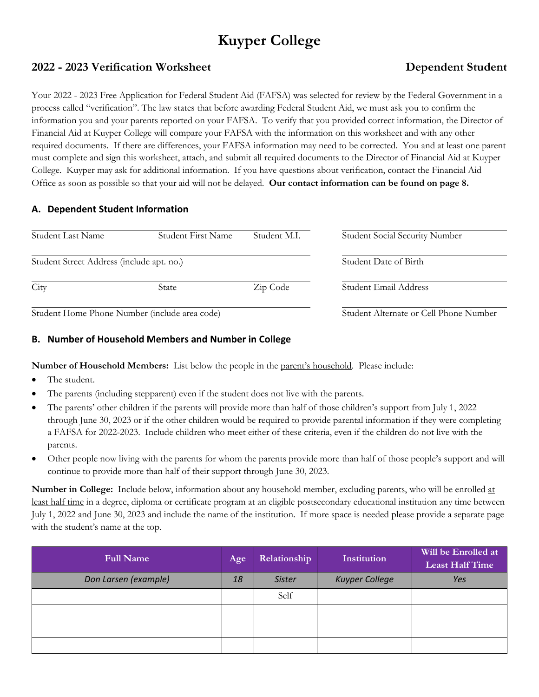# **Kuyper College**

# **2022 - 2023 Verification Worksheet Dependent Student**

# Your 2022 - 2023 Free Application for Federal Student Aid (FAFSA) was selected for review by the Federal Government in a process called "verification". The law states that before awarding Federal Student Aid, we must ask you to confirm the information you and your parents reported on your FAFSA. To verify that you provided correct information, the Director of Financial Aid at Kuyper College will compare your FAFSA with the information on this worksheet and with any other required documents. If there are differences, your FAFSA information may need to be corrected. You and at least one parent must complete and sign this worksheet, attach, and submit all required documents to the Director of Financial Aid at Kuyper College. Kuyper may ask for additional information. If you have questions about verification, contact the Financial Aid Office as soon as possible so that your aid will not be delayed. **Our contact information can be found on page 8.**

# **A. Dependent Student Information**

| Student Last Name                             | Student First Name | Student M.I.                           | <b>Student Social Security Number</b> |
|-----------------------------------------------|--------------------|----------------------------------------|---------------------------------------|
| Student Street Address (include apt. no.)     |                    |                                        | Student Date of Birth                 |
| City                                          | State              | Zip Code                               | Student Email Address                 |
| Student Home Phone Number (include area code) |                    | Student Alternate or Cell Phone Number |                                       |

dent Home Phone Number (include area code)

# **B. Number of Household Members and Number in College**

**Number of Household Members:** List below the people in the parent's household. Please include:

- The student.
- The parents (including stepparent) even if the student does not live with the parents.
- The parents' other children if the parents will provide more than half of those children's support from July 1, 2022 through June 30, 2023 or if the other children would be required to provide parental information if they were completing a FAFSA for 2022-2023. Include children who meet either of these criteria, even if the children do not live with the parents.
- Other people now living with the parents for whom the parents provide more than half of those people's support and will continue to provide more than half of their support through June 30, 2023.

**Number in College:** Include below, information about any household member, excluding parents, who will be enrolled at least half time in a degree, diploma or certificate program at an eligible postsecondary educational institution any time between July 1, 2022 and June 30, 2023 and include the name of the institution. If more space is needed please provide a separate page with the student's name at the top.

| <b>Full Name</b>     | Age | Relationship  | Institution           | Will be Enrolled at<br><b>Least Half Time</b> |
|----------------------|-----|---------------|-----------------------|-----------------------------------------------|
| Don Larsen (example) | 18  | <b>Sister</b> | <b>Kuyper College</b> | Yes                                           |
|                      |     | Self          |                       |                                               |
|                      |     |               |                       |                                               |
|                      |     |               |                       |                                               |
|                      |     |               |                       |                                               |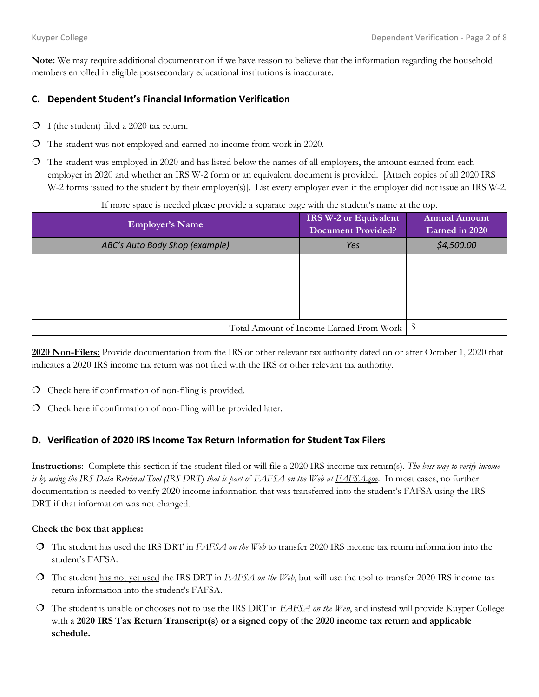**Note:** We may require additional documentation if we have reason to believe that the information regarding the household members enrolled in eligible postsecondary educational institutions is inaccurate.

# **C. Dependent Student's Financial Information Verification**

- $O$  I (the student) filed a 2020 tax return.
- The student was not employed and earned no income from work in 2020.
- The student was employed in 2020 and has listed below the names of all employers, the amount earned from each employer in 2020 and whether an IRS W-2 form or an equivalent document is provided. [Attach copies of all 2020 IRS W-2 forms issued to the student by their employer(s). List every employer even if the employer did not issue an IRS W-2.

If more space is needed please provide a separate page with the student's name at the top.

| <b>Employer's Name</b>                       | IRS W-2 or Equivalent<br><b>Document Provided?</b> | <b>Annual Amount</b><br>Earned in 2020 |
|----------------------------------------------|----------------------------------------------------|----------------------------------------|
| ABC's Auto Body Shop (example)               | Yes                                                | \$4,500.00                             |
|                                              |                                                    |                                        |
|                                              |                                                    |                                        |
|                                              |                                                    |                                        |
|                                              |                                                    |                                        |
| Total Amount of Income Earned From Work   \$ |                                                    |                                        |

**2020 Non-Filers:** Provide documentation from the IRS or other relevant tax authority dated on or after October 1, 2020 that indicates a 2020 IRS income tax return was not filed with the IRS or other relevant tax authority.

- Check here if confirmation of non-filing is provided.
- Check here if confirmation of non-filing will be provided later.

### **D. Verification of 2020 IRS Income Tax Return Information for Student Tax Filers**

**Instructions**: Complete this section if the student filed or will file a 2020 IRS income tax return(s). *The best way to verify income is by using the IRS Data Retrieval Tool (IRS DRT*) *that is part o*f *FAFSA on the Web at FAFSA.gov.* In most cases, no further documentation is needed to verify 2020 income information that was transferred into the student's FAFSA using the IRS DRT if that information was not changed.

#### **Check the box that applies:**

- The student has used the IRS DRT in *FAFSA on the Web* to transfer 2020 IRS income tax return information into the student's FAFSA*.*
- The student has not yet used the IRS DRT in *FAFSA on the Web*, but will use the tool to transfer 2020 IRS income tax return information into the student's FAFSA.
- The student is unable or chooses not to use the IRS DRT in *FAFSA on the Web*, and instead will provide Kuyper College with a **2020 IRS Tax Return Transcript(s) or a signed copy of the 2020 income tax return and applicable schedule.**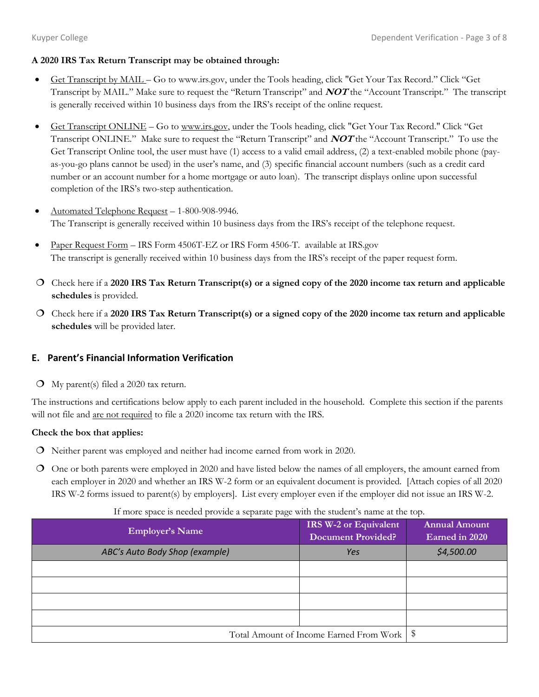# **A 2020 IRS Tax Return Transcript may be obtained through:**

- Get Transcript by MAIL Go to www.irs.gov, under the Tools heading, click "Get Your Tax Record." Click "Get Transcript by MAIL." Make sure to request the "Return Transcript" and **NOT** the "Account Transcript." The transcript is generally received within 10 business days from the IRS's receipt of the online request.
- Get Transcript ONLINE Go to www.irs.gov, under the Tools heading, click "Get Your Tax Record." Click "Get Transcript ONLINE." Make sure to request the "Return Transcript" and **NOT** the "Account Transcript." To use the Get Transcript Online tool, the user must have (1) access to a valid email address, (2) a text-enabled mobile phone (payas-you-go plans cannot be used) in the user's name, and (3) specific financial account numbers (such as a credit card number or an account number for a home mortgage or auto loan). The transcript displays online upon successful completion of the IRS's two-step authentication.
- Automated Telephone Request 1-800-908-9946. The Transcript is generally received within 10 business days from the IRS's receipt of the telephone request.
- Paper Request Form IRS Form 4506T-EZ or IRS Form 4506-T. available at IRS.gov The transcript is generally received within 10 business days from the IRS's receipt of the paper request form.
- Check here if a **2020 IRS Tax Return Transcript(s) or a signed copy of the 2020 income tax return and applicable schedules** is provided.
- Check here if a **2020 IRS Tax Return Transcript(s) or a signed copy of the 2020 income tax return and applicable schedules** will be provided later.

# **E. Parent's Financial Information Verification**

My parent(s) filed a 2020 tax return.

The instructions and certifications below apply to each parent included in the household.Complete this section if the parents will not file and are not required to file a 2020 income tax return with the IRS.

# **Check the box that applies:**

- Neither parent was employed and neither had income earned from work in 2020.
- One or both parents were employed in 2020 and have listed below the names of all employers, the amount earned from each employer in 2020 and whether an IRS W-2 form or an equivalent document is provided. [Attach copies of all 2020 IRS W-2 forms issued to parent(s) by employers]. List every employer even if the employer did not issue an IRS W-2.

| <b>Employer's Name</b>                       | <b>IRS W-2 or Equivalent</b><br><b>Document Provided?</b> | <b>Annual Amount</b><br>Earned in 2020 |
|----------------------------------------------|-----------------------------------------------------------|----------------------------------------|
| ABC's Auto Body Shop (example)               | Yes                                                       | \$4,500.00                             |
|                                              |                                                           |                                        |
|                                              |                                                           |                                        |
|                                              |                                                           |                                        |
|                                              |                                                           |                                        |
| Total Amount of Income Earned From Work   \$ |                                                           |                                        |

#### If more space is needed provide a separate page with the student's name at the top.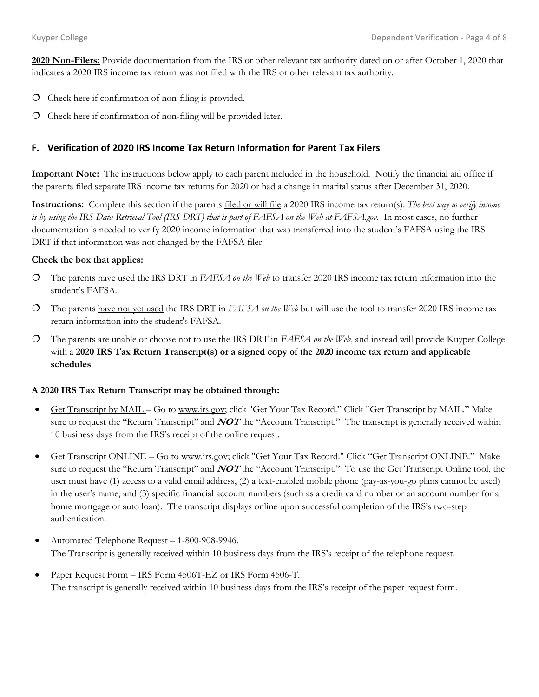**2020 Non-Filers:** Provide documentation from the IRS or other relevant tax authority dated on or after October 1, 2020 that indicates a 2020 IRS income tax return was not filed with the IRS or other relevant tax authority.

- Check here if confirmation of non-filing is provided.
- Check here if confirmation of non-filing will be provided later.

# **F. Verification of 2020 IRS Income Tax Return Information for Parent Tax Filers**

**Important Note:** The instructions below apply to each parent included in the household. Notify the financial aid office if the parents filed separate IRS income tax returns for 2020 or had a change in marital status after December 31, 2020.

**Instructions:** Complete this section if the parents filed or will file a 2020 IRS income tax return(s). *The best way to verify income is by using the IRS Data Retrieval Tool (IRS DRT) that is part of FAFSA on the Web at FAFSA.gov*. In most cases, no further documentation is needed to verify 2020 income information that was transferred into the student's FAFSA using the IRS DRT if that information was not changed by the FAFSA filer.

#### **Check the box that applies:**

- The parents have used the IRS DRT in *FAFSA on the Web* to transfer 2020 IRS income tax return information into the student's FAFSA*.*
- The parents have not yet used the IRS DRT in *FAFSA on the Web* but will use the tool to transfer 2020 IRS income tax return information into the student's FAFSA.
- The parents are unable or choose not to use the IRS DRT in *FAFSA on the Web*, and instead will provide Kuyper College with a **2020 IRS Tax Return Transcript(s) or a signed copy of the 2020 income tax return and applicable schedules**.

#### **A 2020 IRS Tax Return Transcript may be obtained through:**

- Get Transcript by MAIL Go to www.irs.gov; click "Get Your Tax Record." Click "Get Transcript by MAIL." Make sure to request the "Return Transcript" and **NOT** the "Account Transcript." The transcript is generally received within 10 business days from the IRS's receipt of the online request.
- Get Transcript ONLINE Go to www.irs.gov; click "Get Your Tax Record." Click "Get Transcript ONLINE." Make sure to request the "Return Transcript" and **NOT** the "Account Transcript." To use the Get Transcript Online tool, the user must have (1) access to a valid email address, (2) a text-enabled mobile phone (pay-as-you-go plans cannot be used) in the user's name, and (3) specific financial account numbers (such as a credit card number or an account number for a home mortgage or auto loan). The transcript displays online upon successful completion of the IRS's two-step authentication.
- Automated Telephone Request 1-800-908-9946. The Transcript is generally received within 10 business days from the IRS's receipt of the telephone request.
- Paper Request Form IRS Form 4506T-EZ or IRS Form 4506-T. The transcript is generally received within 10 business days from the IRS's receipt of the paper request form.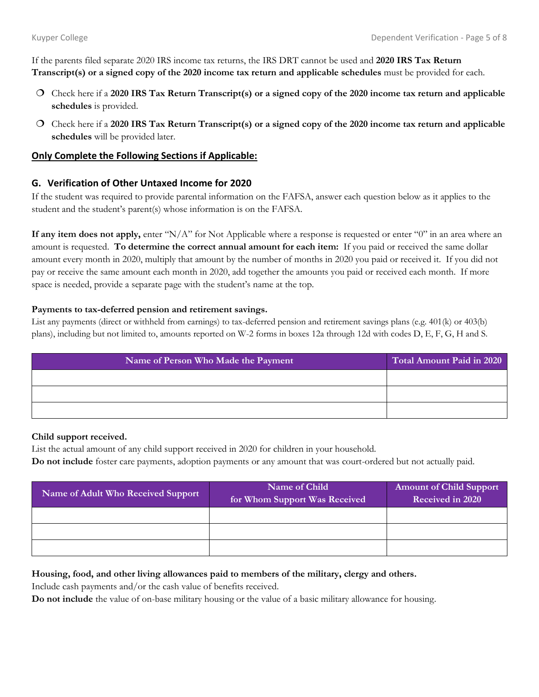If the parents filed separate 2020 IRS income tax returns, the IRS DRT cannot be used and **2020 IRS Tax Return Transcript(s) or a signed copy of the 2020 income tax return and applicable schedules** must be provided for each.

- Check here if a **2020 IRS Tax Return Transcript(s) or a signed copy of the 2020 income tax return and applicable schedules** is provided.
- Check here if a **2020 IRS Tax Return Transcript(s) or a signed copy of the 2020 income tax return and applicable schedules** will be provided later.

#### **Only Complete the Following Sections if Applicable:**

### **G. Verification of Other Untaxed Income for 2020**

If the student was required to provide parental information on the FAFSA, answer each question below as it applies to the student and the student's parent(s) whose information is on the FAFSA.

**If any item does not apply,** enter "N/A" for Not Applicable where a response is requested or enter "0" in an area where an amount is requested. **To determine the correct annual amount for each item:** If you paid or received the same dollar amount every month in 2020, multiply that amount by the number of months in 2020 you paid or received it. If you did not pay or receive the same amount each month in 2020, add together the amounts you paid or received each month. If more space is needed, provide a separate page with the student's name at the top.

#### **Payments to tax-deferred pension and retirement savings.**

List any payments (direct or withheld from earnings) to tax-deferred pension and retirement savings plans (e.g. 401(k) or 403(b) plans), including but not limited to, amounts reported on W-2 forms in boxes 12a through 12d with codes D, E, F, G, H and S.

| Name of Person Who Made the Payment | Total Amount Paid in 2020 |
|-------------------------------------|---------------------------|
|                                     |                           |
|                                     |                           |
|                                     |                           |

#### **Child support received.**

List the actual amount of any child support received in 2020 for children in your household.

**Do not include** foster care payments, adoption payments or any amount that was court-ordered but not actually paid.

| Name of Adult Who Received Support | Name of Child<br>for Whom Support Was Received | <b>Amount of Child Support</b><br>Received in 2020 |
|------------------------------------|------------------------------------------------|----------------------------------------------------|
|                                    |                                                |                                                    |
|                                    |                                                |                                                    |
|                                    |                                                |                                                    |

#### **Housing, food, and other living allowances paid to members of the military, clergy and others.**

Include cash payments and/or the cash value of benefits received.

**Do not include** the value of on-base military housing or the value of a basic military allowance for housing.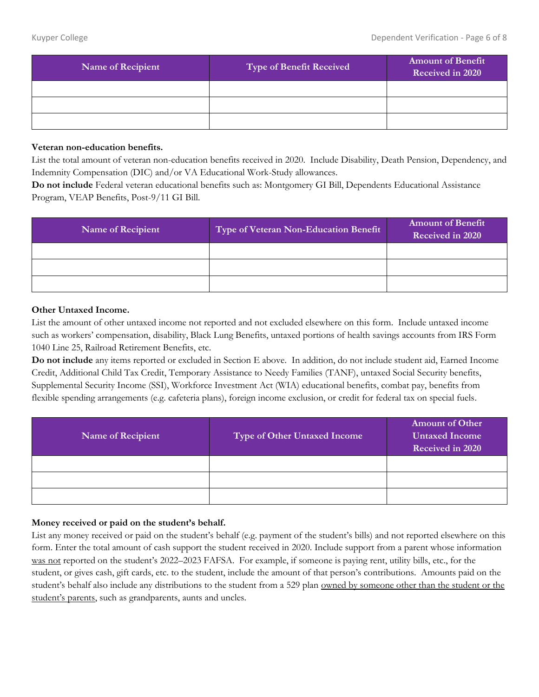| <b>Name of Recipient</b> | Type of Benefit Received | <b>Amount of Benefit</b><br>Received in 2020 |
|--------------------------|--------------------------|----------------------------------------------|
|                          |                          |                                              |
|                          |                          |                                              |
|                          |                          |                                              |

#### **Veteran non-education benefits.**

List the total amount of veteran non-education benefits received in 2020. Include Disability, Death Pension, Dependency, and Indemnity Compensation (DIC) and/or VA Educational Work-Study allowances.

**Do not include** Federal veteran educational benefits such as: Montgomery GI Bill, Dependents Educational Assistance Program, VEAP Benefits, Post-9/11 GI Bill.

| <b>Name of Recipient</b> | Type of Veteran Non-Education Benefit | <b>Amount of Benefit</b><br>Received in 2020 |
|--------------------------|---------------------------------------|----------------------------------------------|
|                          |                                       |                                              |
|                          |                                       |                                              |
|                          |                                       |                                              |

#### **Other Untaxed Income.**

List the amount of other untaxed income not reported and not excluded elsewhere on this form. Include untaxed income such as workers' compensation, disability, Black Lung Benefits, untaxed portions of health savings accounts from IRS Form 1040 Line 25, Railroad Retirement Benefits, etc.

**Do not include** any items reported or excluded in Section E above. In addition, do not include student aid, Earned Income Credit, Additional Child Tax Credit, Temporary Assistance to Needy Families (TANF), untaxed Social Security benefits, Supplemental Security Income (SSI), Workforce Investment Act (WIA) educational benefits, combat pay, benefits from flexible spending arrangements (e.g. cafeteria plans), foreign income exclusion, or credit for federal tax on special fuels.

| <b>Name of Recipient</b> | Type of Other Untaxed Income | <b>Amount of Other</b><br><b>Untaxed Income</b><br>Received in 2020 |
|--------------------------|------------------------------|---------------------------------------------------------------------|
|                          |                              |                                                                     |
|                          |                              |                                                                     |
|                          |                              |                                                                     |

### **Money received or paid on the student's behalf.**

List any money received or paid on the student's behalf (e.g. payment of the student's bills) and not reported elsewhere on this form. Enter the total amount of cash support the student received in 2020. Include support from a parent whose information was not reported on the student's 2022–2023 FAFSA. For example, if someone is paying rent, utility bills, etc., for the student, or gives cash, gift cards, etc. to the student, include the amount of that person's contributions. Amounts paid on the student's behalf also include any distributions to the student from a 529 plan owned by someone other than the student or the student's parents, such as grandparents, aunts and uncles.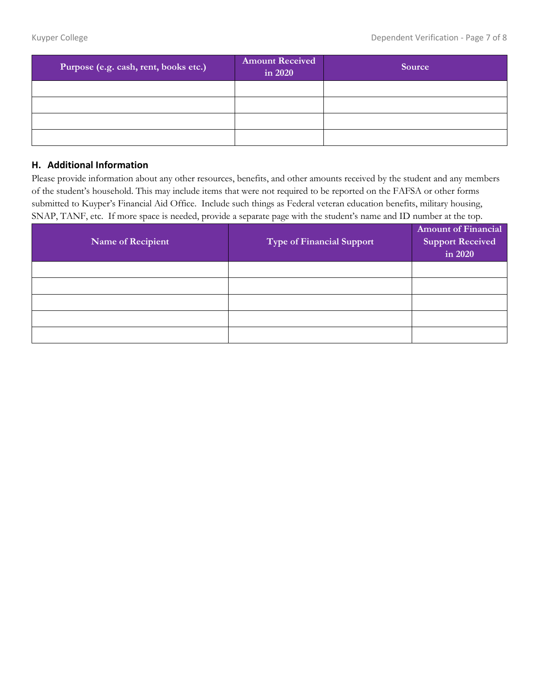| Purpose (e.g. cash, rent, books etc.) | <b>Amount Received</b><br>in 2020 | Source |
|---------------------------------------|-----------------------------------|--------|
|                                       |                                   |        |
|                                       |                                   |        |
|                                       |                                   |        |
|                                       |                                   |        |

# **H. Additional Information**

Please provide information about any other resources, benefits, and other amounts received by the student and any members of the student's household. This may include items that were not required to be reported on the FAFSA or other forms submitted to Kuyper's Financial Aid Office. Include such things as Federal veteran education benefits, military housing, SNAP, TANF, etc. If more space is needed, provide a separate page with the student's name and ID number at the top.

| Name of Recipient | <b>Type of Financial Support</b> | <b>Amount of Financial</b><br><b>Support Received</b><br>in 2020 |
|-------------------|----------------------------------|------------------------------------------------------------------|
|                   |                                  |                                                                  |
|                   |                                  |                                                                  |
|                   |                                  |                                                                  |
|                   |                                  |                                                                  |
|                   |                                  |                                                                  |